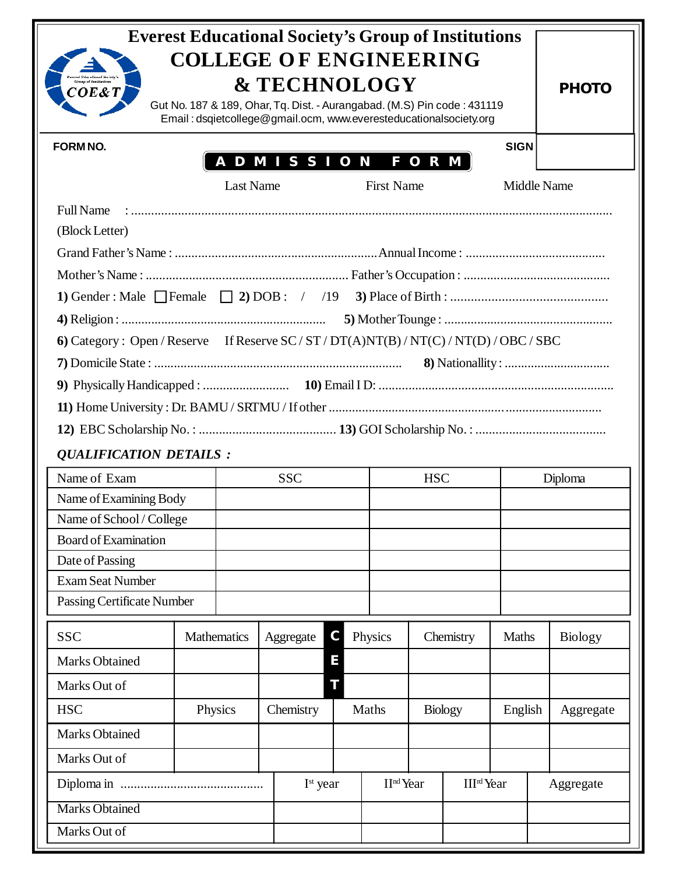| <b>Everest Educational Society's Group of Institutions</b><br><b>COLLEGE OF ENGINEERING</b><br><b>Everest Educational Society</b><br><b>&amp; TECHNOLOGY</b><br><b>PHOTO</b><br>COE&T<br>Gut No. 187 & 189, Ohar, Tq. Dist. - Aurangabad. (M.S) Pin code: 431119<br>Email: dsqietcollege@gmail.ocm, www.everesteducationalsociety.org |                        |                  |                      |   |                       |                |                             |                    |         |                |  |
|---------------------------------------------------------------------------------------------------------------------------------------------------------------------------------------------------------------------------------------------------------------------------------------------------------------------------------------|------------------------|------------------|----------------------|---|-----------------------|----------------|-----------------------------|--------------------|---------|----------------|--|
| <b>SIGN</b><br><b>FORM NO.</b><br>A D M I S S I O N<br>FORM                                                                                                                                                                                                                                                                           |                        |                  |                      |   |                       |                |                             |                    |         |                |  |
|                                                                                                                                                                                                                                                                                                                                       |                        | <b>Last Name</b> |                      |   | <b>First Name</b>     |                |                             | <b>Middle Name</b> |         |                |  |
| <b>Full Name</b>                                                                                                                                                                                                                                                                                                                      |                        |                  |                      |   |                       |                |                             |                    |         |                |  |
| (Block Letter)                                                                                                                                                                                                                                                                                                                        |                        |                  |                      |   |                       |                |                             |                    |         |                |  |
|                                                                                                                                                                                                                                                                                                                                       |                        |                  |                      |   |                       |                |                             |                    |         |                |  |
|                                                                                                                                                                                                                                                                                                                                       |                        |                  |                      |   |                       |                |                             |                    |         |                |  |
|                                                                                                                                                                                                                                                                                                                                       |                        |                  |                      |   |                       |                |                             |                    |         |                |  |
|                                                                                                                                                                                                                                                                                                                                       |                        |                  |                      |   |                       |                |                             |                    |         |                |  |
| 6) Category: Open/Reserve If Reserve SC/ST/DT(A)NT(B)/NT(C)/NT(D)/OBC/SBC                                                                                                                                                                                                                                                             |                        |                  |                      |   |                       |                |                             |                    |         |                |  |
|                                                                                                                                                                                                                                                                                                                                       |                        |                  |                      |   |                       |                |                             |                    |         |                |  |
|                                                                                                                                                                                                                                                                                                                                       |                        |                  |                      |   |                       |                |                             |                    |         |                |  |
|                                                                                                                                                                                                                                                                                                                                       |                        |                  |                      |   |                       |                |                             |                    |         |                |  |
|                                                                                                                                                                                                                                                                                                                                       |                        |                  |                      |   |                       |                |                             |                    |         |                |  |
| <b>QUALIFICATION DETAILS:</b>                                                                                                                                                                                                                                                                                                         |                        |                  |                      |   |                       |                |                             |                    |         |                |  |
| Name of Exam                                                                                                                                                                                                                                                                                                                          |                        |                  | <b>SSC</b>           |   |                       | <b>HSC</b>     |                             |                    | Diploma |                |  |
|                                                                                                                                                                                                                                                                                                                                       | Name of Examining Body |                  |                      |   |                       |                |                             |                    |         |                |  |
| Name of School / College                                                                                                                                                                                                                                                                                                              |                        |                  |                      |   |                       |                |                             |                    |         |                |  |
| Board of Examination                                                                                                                                                                                                                                                                                                                  |                        |                  |                      |   |                       |                |                             |                    |         |                |  |
| Date of Passing                                                                                                                                                                                                                                                                                                                       |                        |                  |                      |   |                       |                |                             |                    |         |                |  |
| <b>Exam Seat Number</b>                                                                                                                                                                                                                                                                                                               |                        |                  |                      |   |                       |                |                             |                    |         |                |  |
| Passing Certificate Number                                                                                                                                                                                                                                                                                                            |                        |                  |                      |   |                       |                |                             |                    |         |                |  |
| <b>SSC</b>                                                                                                                                                                                                                                                                                                                            |                        | Mathematics      | Aggregate            | С | Physics               |                | Chemistry                   | Maths              |         | <b>Biology</b> |  |
| <b>Marks Obtained</b>                                                                                                                                                                                                                                                                                                                 |                        |                  |                      | Е |                       |                |                             |                    |         |                |  |
| Marks Out of                                                                                                                                                                                                                                                                                                                          |                        |                  |                      |   |                       |                |                             |                    |         |                |  |
| <b>HSC</b>                                                                                                                                                                                                                                                                                                                            | Physics                |                  | Chemistry<br>Maths   |   |                       | <b>Biology</b> |                             | English            |         | Aggregate      |  |
| <b>Marks Obtained</b>                                                                                                                                                                                                                                                                                                                 |                        |                  |                      |   |                       |                |                             |                    |         |                |  |
| Marks Out of                                                                                                                                                                                                                                                                                                                          |                        |                  |                      |   |                       |                |                             |                    |         |                |  |
|                                                                                                                                                                                                                                                                                                                                       |                        |                  | I <sup>st</sup> year |   | II <sup>nd</sup> Year |                | <b>III<sup>rd</sup>Year</b> |                    |         | Aggregate      |  |
| <b>Marks Obtained</b>                                                                                                                                                                                                                                                                                                                 |                        |                  |                      |   |                       |                |                             |                    |         |                |  |
| Marks Out of                                                                                                                                                                                                                                                                                                                          |                        |                  |                      |   |                       |                |                             |                    |         |                |  |